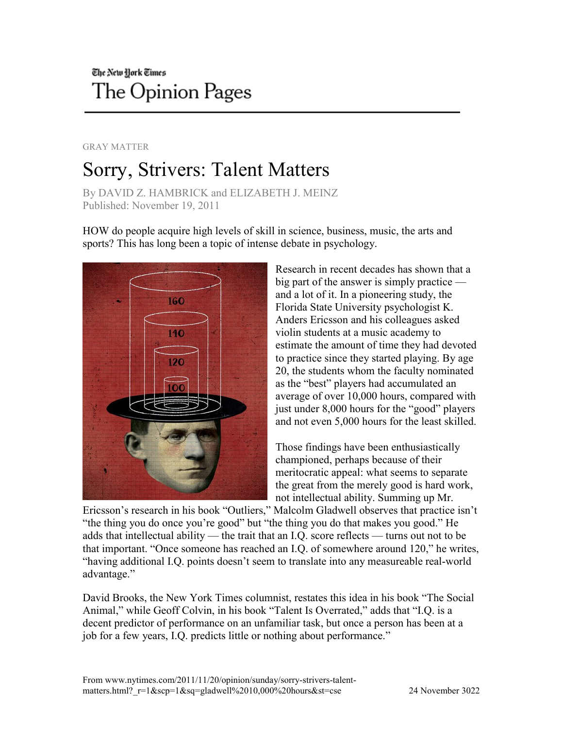## The New Hork Times The Opinion Pages

## GRAY MATTER

## Sorry, Strivers: Talent Matters

By DAVID Z. HAMBRICK and ELIZABETH J. MEINZ Published: November 19, 2011

HOW do people acquire high levels of skill in science, business, music, the arts and sports? This has long been a topic of intense debate in psychology.



Research in recent decades has shown that a big part of the answer is simply practice and a lot of it. In a pioneering study, the Florida State University psychologist K. Anders Ericsson and his colleagues asked violin students at a music academy to estimate the amount of time they had devoted to practice since they started playing. By age 20, the students whom the faculty nominated as the "best" players had accumulated an average of over 10,000 hours, compared with just under 8,000 hours for the "good" players and not even 5,000 hours for the least skilled.

Those findings have been enthusiastically championed, perhaps because of their meritocratic appeal: what seems to separate the great from the merely good is hard work, not intellectual ability. Summing up Mr.

Ericsson's research in his book "Outliers," Malcolm Gladwell observes that practice isn't "the thing you do once you're good" but "the thing you do that makes you good." He adds that intellectual ability — the trait that an I.Q. score reflects — turns out not to be that important. "Once someone has reached an I.Q. of somewhere around 120," he writes, "having additional I.Q. points doesn't seem to translate into any measureable real-world advantage."

David Brooks, the New York Times columnist, restates this idea in his book "The Social Animal," while Geoff Colvin, in his book "Talent Is Overrated," adds that "I.Q. is a decent predictor of performance on an unfamiliar task, but once a person has been at a job for a few years, I.Q. predicts little or nothing about performance."